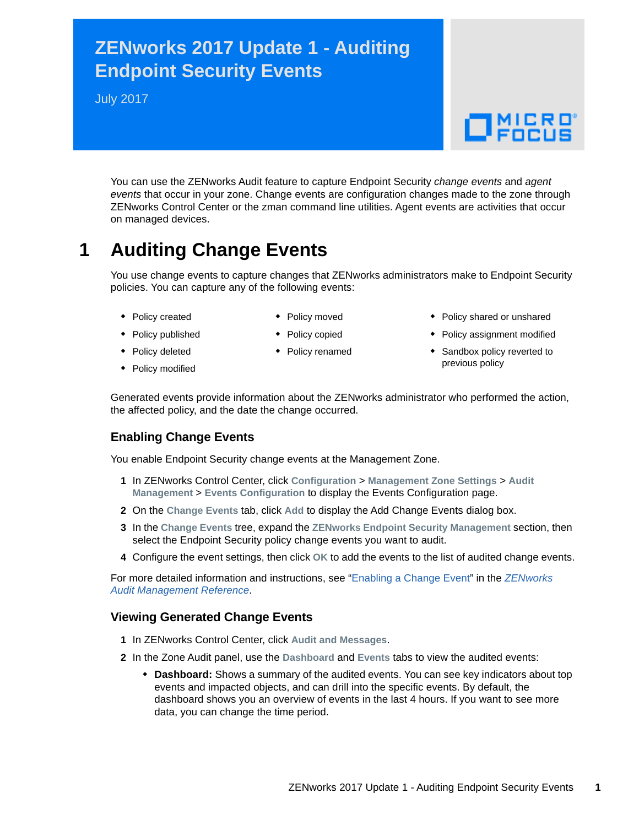## **ZENworks 2017 Update 1 - Auditing Endpoint Security Events**

July 2017

# $\Box$ MICRO'

You can use the ZENworks Audit feature to capture Endpoint Security *change events* and *agent events* that occur in your zone. Change events are configuration changes made to the zone through ZENworks Control Center or the zman command line utilities. Agent events are activities that occur on managed devices.

## **1 Auditing Change Events**

You use change events to capture changes that ZENworks administrators make to Endpoint Security policies. You can capture any of the following events:

- Policy created
- Policy moved ◆ Policy copied
- Policy published
- Policy deleted Policy modified
- Policy renamed
- Policy shared or unshared
- Policy assignment modified
- Sandbox policy reverted to previous policy

Generated events provide information about the ZENworks administrator who performed the action, the affected policy, and the date the change occurred.

### **Enabling Change Events**

You enable Endpoint Security change events at the Management Zone.

- **1** In ZENworks Control Center, click **Configuration** > **Management Zone Settings** > **Audit Management** > **Events Configuration** to display the Events Configuration page.
- **2** On the **Change Events** tab, click **Add** to display the Add Change Events dialog box.
- **3** In the **Change Events** tree, expand the **ZENworks Endpoint Security Management** section, then select the Endpoint Security policy change events you want to audit.
- **4** Configure the event settings, then click **OK** to add the events to the list of audited change events.

For more detailed information and instructions, see ["Enabling a Change Event](https://www.novell.com/documentation/zenworks2017/pdfdoc/zen_audit_management/zen_audit_management.pdf#b16qrf3y)" in the *[ZENworks](https://www.novell.com/documentation/zenworks2017/pdfdoc/zen_audit_management/zen_audit_management.pdf#bookinfo)  Audit Management Reference*.

#### **Viewing Generated Change Events**

- **1** In ZENworks Control Center, click **Audit and Messages**.
- **2** In the Zone Audit panel, use the **Dashboard** and **Events** tabs to view the audited events:
	- **Dashboard:** Shows a summary of the audited events. You can see key indicators about top events and impacted objects, and can drill into the specific events. By default, the dashboard shows you an overview of events in the last 4 hours. If you want to see more data, you can change the time period.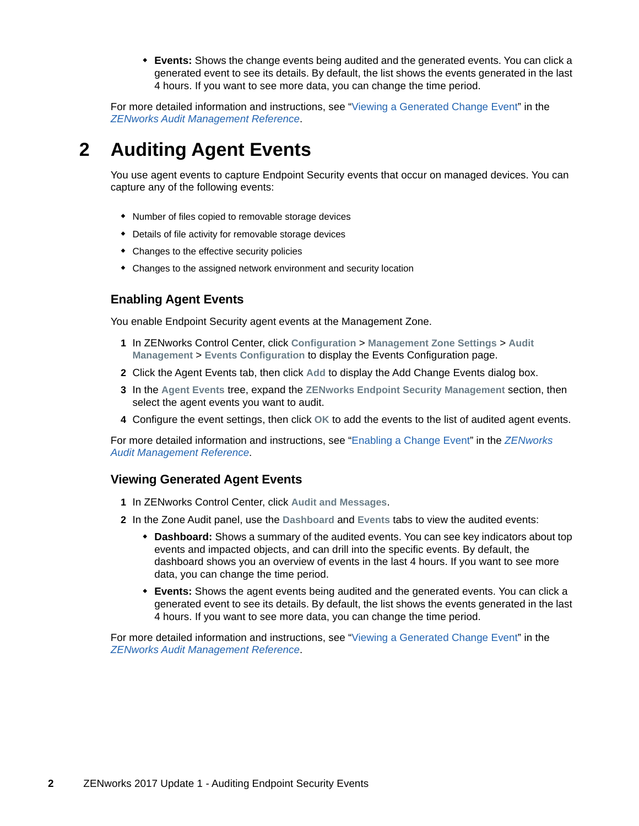**Events:** Shows the change events being audited and the generated events. You can click a generated event to see its details. By default, the list shows the events generated in the last 4 hours. If you want to see more data, you can change the time period.

For more detailed information and instructions, see ["Viewing a Generated Change Event](https://www.novell.com/documentation/zenworks2017/pdfdoc/zen_audit_management/zen_audit_management.pdf#b16qs25l)" in the *[ZENworks Audit Management Reference](https://www.novell.com/documentation/zenworks2017/pdfdoc/zen_audit_management/zen_audit_management.pdf#bookinfo)*.

## **2 Auditing Agent Events**

You use agent events to capture Endpoint Security events that occur on managed devices. You can capture any of the following events:

- Number of files copied to removable storage devices
- Details of file activity for removable storage devices
- Changes to the effective security policies
- Changes to the assigned network environment and security location

#### **Enabling Agent Events**

You enable Endpoint Security agent events at the Management Zone.

- **1** In ZENworks Control Center, click **Configuration** > **Management Zone Settings** > **Audit Management** > **Events Configuration** to display the Events Configuration page.
- **2** Click the Agent Events tab, then click **Add** to display the Add Change Events dialog box.
- **3** In the **Agent Events** tree, expand the **ZENworks Endpoint Security Management** section, then select the agent events you want to audit.
- **4** Configure the event settings, then click **OK** to add the events to the list of audited agent events.

For more detailed information and instructions, see ["Enabling a Change Event](https://www.novell.com/documentation/zenworks2017/pdfdoc/zen_audit_management/zen_audit_management.pdf#b16qrf3y)" in the *[ZENworks](https://www.novell.com/documentation/zenworks2017/pdfdoc/zen_audit_management/zen_audit_management.pdf#bookinfo)  Audit Management Reference*.

#### **Viewing Generated Agent Events**

- **1** In ZENworks Control Center, click **Audit and Messages**.
- **2** In the Zone Audit panel, use the **Dashboard** and **Events** tabs to view the audited events:
	- **Dashboard:** Shows a summary of the audited events. You can see key indicators about top events and impacted objects, and can drill into the specific events. By default, the dashboard shows you an overview of events in the last 4 hours. If you want to see more data, you can change the time period.
	- **Events:** Shows the agent events being audited and the generated events. You can click a generated event to see its details. By default, the list shows the events generated in the last 4 hours. If you want to see more data, you can change the time period.

For more detailed information and instructions, see ["Viewing a Generated Change Event](https://www.novell.com/documentation/zenworks2017/pdfdoc/zen_audit_management/zen_audit_management.pdf#b16qs25l)" in the *[ZENworks Audit Management Reference](https://www.novell.com/documentation/zenworks2017/pdfdoc/zen_audit_management/zen_audit_management.pdf#bookinfo)*.